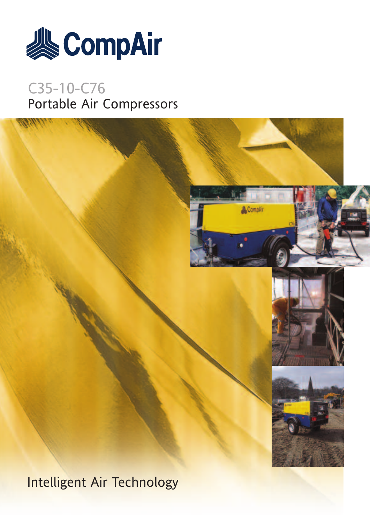

# C35-10-C76 Portable Air Compressors

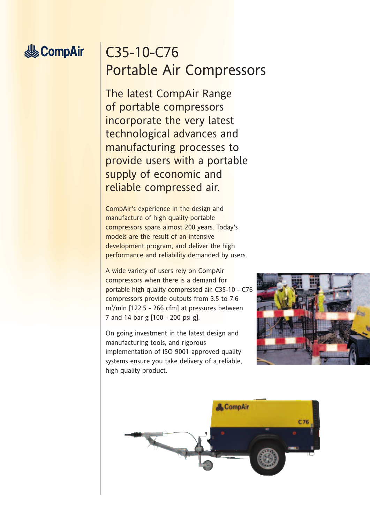# **&CompAir**

# C35-10-C76 Portable Air Compressors

The latest CompAir Range of portable compressors incorporate the very latest technological advances and manufacturing processes to provide users with a portable supply of economic and reliable compressed air.

CompAir's experience in the design and manufacture of high quality portable compressors spans almost 200 years. Today's models are the result of an intensive development program, and deliver the high performance and reliability demanded by users.

A wide variety of users rely on CompAir compressors when there is a demand for portable high quality compressed air. C35-10 - C76 compressors provide outputs from 3.5 to 7.6 m3 /min [122.5 - 266 cfm] at pressures between 7 and 14 bar g [100 - 200 psi g].

On going investment in the latest design and manufacturing tools, and rigorous implementation of ISO 9001 approved quality systems ensure you take delivery of a reliable, high quality product.



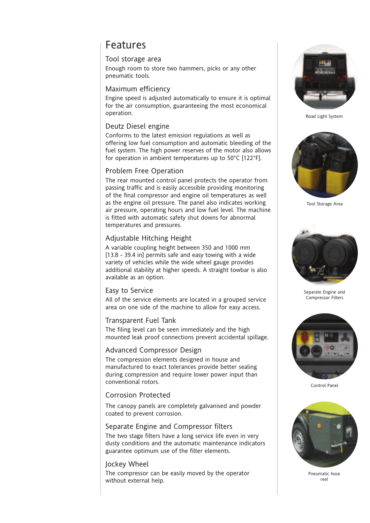### Features

#### Tool storage area

Enough room to store two hammers, picks or any other pneumatic tools.

#### Maximum efficiency

Engine speed is adjusted automatically to ensure it is optimal for the air consumption, guaranteeing the most economical operation.

#### Deutz Diesel engine

Conforms to the latest emission regulations as well as offering low fuel consumption and automatic bleeding of the fuel system. The high power reserves of the motor also allows for operation in ambient temperatures up to 50°C [122°F].

#### Problem Free Operation

The rear mounted control panel protects the operator from passing traffic and is easily accessible providing monitoring of the final compressor and engine oil temperatures as well as the engine oil pressure. The panel also indicates working air pressure, operating hours and low fuel level. The machine is fitted with automatic safety shut downs for abnormal temperatures and pressures.

#### Adjustable Hitching Height

A variable coupling height between 350 and 1000 mm [13.8 - 39.4 in] permits safe and easy towing with a wide variety of vehicles while the wide wheel gauge provides additional stability at higher speeds. A straight towbar is also available as an option.

#### Easy to Service

All of the service elements are located in a grouped service area on one side of the machine to allow for easy access.

#### Transparent Fuel Tank

The filing level can be seen immediately and the high mounted leak proof connections prevent accidental spillage.

#### Advanced Compressor Design

The compression elements designed in house and manufactured to exact tolerances provide better sealing during compression and require lower power input than conventional rotors.

#### Corrosion Protected

The canopy panels are completely galvanised and powder coated to prevent corrosion.

#### Separate Engine and Compressor filters

The two stage filters have a long service life even in very dusty conditions and the automatic maintenance indicators guarantee optimum use of the filter elements.

#### Jockey Wheel

The compressor can be easily moved by the operator without external help.



Road Light System



Tool Storage Area



Separate Engine and Compressor Filters



Control Panel



Pneumatic hose reel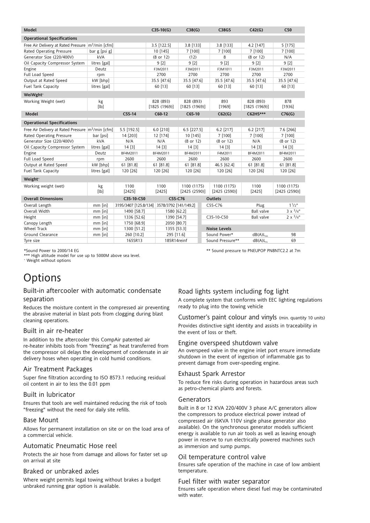| <b>Model</b>                                                    |              |                       |         | $C35-10(G)$                | C38(G)                    |                | <b>C38GS</b>        | C42(G)                     | C50                      |
|-----------------------------------------------------------------|--------------|-----------------------|---------|----------------------------|---------------------------|----------------|---------------------|----------------------------|--------------------------|
|                                                                 |              |                       |         |                            |                           |                |                     |                            |                          |
| <b>Operational Specifications</b>                               |              |                       |         |                            |                           |                |                     |                            |                          |
| Free Air Delivery at Rated Pressure   m <sup>3</sup> /min [cfm] |              |                       |         | 3.5 [122.5]                | 3.8 [133]                 |                | 3.8 [133]           | 4.2 [147]                  | 5 [175]                  |
| Rated Operating Pressure                                        |              | bar g [psi g]         |         | 10 [145]                   | 7 [100]                   |                | 7 [100]             | 7 [100]                    | 7 [100]                  |
| Generator Size (220/400V)                                       |              | <b>kVA</b>            |         | (8 or 12)                  | (12)                      |                | 8                   | (8 or 12)                  | N/A                      |
| Oil Capacity Compressor System                                  | litres [gal] |                       |         | 9 <sub>[2]</sub>           | 9[2]                      |                | 9[2]                | 9[2]                       | 9[2]                     |
| Engine                                                          | Deutz        |                       |         | F3M2011                    | F3M2011                   |                | F3M1011             | F3M2011                    | F3M2011                  |
| Full Load Speed                                                 | rpm          |                       |         | 2700                       | 2700                      |                | 2700                | 2700                       | 2700                     |
| Output at Rated Speed                                           | kW [bhp]     |                       |         | 35.5 [47.6]                | 35.5 [47.6]               |                | 35.5 [47.6]         | 35.5 [47.6]                | 35.5 [47.6]              |
| <b>Fuel Tank Capacity</b>                                       | litres [gal] |                       |         | 60 [13]                    | 60 [13]                   |                | 60 [13]             | 60 [13]                    | 60 [13]                  |
| WeiWght <sup>+</sup>                                            |              |                       |         |                            |                           |                |                     |                            |                          |
| Working Weight (wet)                                            | kg<br>[lb]   |                       |         | 828 (893)<br>[1825 (1969)] | 828 (893)<br>[1825(1969)] |                | 893<br>[1969]       | 828 (893)<br>[1825 (1969)] | 878<br>[1936]            |
| <b>Model</b>                                                    |              | $C55-14$              |         | C60-12                     | $C65-10$                  |                | C62(G)              | C62HS***                   | C76(G)                   |
| <b>Operational Specifications</b>                               |              |                       |         |                            |                           |                |                     |                            |                          |
| Free Air Delivery at Rated Pressure m <sup>3</sup> /min [cfm]   |              | 5.5 [192.5]           |         | 6.0 [210]                  | 6.5 [227.5]               |                | 6.2 [217]           | 6.2 [217]                  | 7.6 [266]                |
| Rated Operating Pressure                                        | bar [psi]    | 14 [203]              |         | 12 [174]                   | 10 [145]                  |                | 7 [100]             | 7 [100]                    | 7 [100]                  |
| Generator Size (220/400V)                                       | kVA          | N/A                   |         | N/A                        | (8 or 12)                 |                | (8 or 12)           | N/A                        | (8 or 12)                |
| Oil Capacity Compressor System                                  | litres [gal] | 14 [3]                |         | 14[3]                      | 14 [3]                    |                | 14 [3]              | 14[3]                      | 14[3]                    |
| Engine                                                          | Deutz        | BF4M2011              |         | BF4M2011                   | BF4M2011                  |                | F4M2011             | BF4M2011                   | BF4M2011                 |
| Full Load Speed                                                 | rpm          | 2600                  |         | 2600                       | 2600                      |                | 2600                | 2600                       | 2600                     |
| Output at Rated Speed                                           | kW [bhp]     | 61 [81.8]             |         | 61 [81.8]                  | 61 [81.8]                 |                | 46.5 [62.4]         | 61 [81.8]                  | 61 [81.8]                |
| Fuel Tank Capacity                                              | litres [gal] | 120 [26]              |         | 120 [26]                   | 120 [26]                  |                | 120 [26]            | 120 [26]                   | 120 [26]                 |
| Weight <sup>+</sup>                                             |              |                       |         |                            |                           |                |                     |                            |                          |
| Working weight (wet)                                            | kg           | 1100                  | 1100    |                            | 1100 (1175)               |                | 1100 (1175)         | 1100                       | 1100 (1175)              |
|                                                                 | [lb]         | [2425]                |         | $[2425]$                   | [2425 (2590)]             |                | [2425 (2590)]       | $[2425]$                   | [2425 (2590)]            |
| <b>Overall Dimensions</b><br>C35-10-C50                         |              |                       | C55-C76 |                            |                           | <b>Outlets</b> |                     |                            |                          |
| Overall Length                                                  | $mm$ [in]    | 3195/3407 [125.8/134] |         | 3578/3792 [141/149.2]      |                           |                | C55-C76             | Plug                       | 11/2"                    |
| Overall Width                                                   | $mm$ [in]    | 1490 [58.7]           |         | 1580 [62.2]                |                           |                |                     | <b>Ball valve</b>          | $3 \times \frac{3}{4}$ " |
| Height                                                          | $mm$ [in]    | 1336 [52.6]           |         | 1390 [54.7]                |                           |                | C35-10-C50          | <b>Ball valve</b>          | $2 \times \frac{3}{4}$ " |
| Canopy Length                                                   | $mm$ [in]    | 1750 [68.9]           |         | 2050 [80.7]                |                           |                |                     |                            |                          |
| <b>Wheel Track</b>                                              | $mm$ [in]    | 1300 [51.2]           |         |                            | 1355 [53.3]               |                | <b>Noise Levels</b> |                            |                          |
| Ground Clearance                                                | $mm$ [in]    | 260 [10.2]            |         | 295 [11.6]                 |                           |                | Sound Power*        | $dB(A)L$ <sub></sub>       | 98                       |
| Tyre size                                                       |              | 165SR13               |         | 185R14reinf                |                           |                | Sound Pressure**    | $dB(A)L_{PA}$              | 69                       |

\*Sound Power to 2000/14 EG \*\* Sound pressure to PNEUPOP PN8NTC2.2 at 7m

\*\*\* High altitude model for use up to 5000M above sea level.

<sup>+</sup> Weight without options

### **Options**

#### Built-in aftercooler with automatic condensate separation

Reduces the moisture content in the compressed air preventing the abrasive material in blast pots from clogging during blast cleaning operations.

#### Built in air re-heater

In addition to the aftercooler this CompAir patented air re-heater inhibits tools from "freezing" as heat transferred from the compressor oil delays the development of condensate in air delivery hoses when operating in cold humid conditions.

#### Air Treatment Packages

Super fine filtration according to ISO 8573.1 reducing residual oil content in air to less the 0.01 ppm

#### Built in lubricator

Ensures that tools are well maintained reducing the risk of tools "freezing" without the need for daily site refills.

#### Base Mount

Allows for permanent installation on site or on the load area of a commercial vehicle.

#### Automatic Pneumatic Hose reel

Protects the air hose from damage and allows for faster set up on arrival at site

#### Braked or unbraked axles

Where weight permits legal towing without brakes a budget unbraked running gear option is available.

#### Road lights system including fog light

A complete system that conforms with EEC lighting regulations ready to plug into the towing vehicle

Customer's paint colour and vinyls (min. quantity 10 units) Provides distinctive sight identity and assists in traceability in the event of loss or theft.

#### Engine overspeed shutdown valve

An overspeed valve in the engine inlet port ensure immediate shutdown in the event of ingestion of inflammable gas to prevent damage from over-speeding engine.

#### Exhaust Spark Arrestor

To reduce fire risks during operation in hazardous areas such as petro-chemical plants and forests.

#### Generators

Built in 8 or 12 KVA 220/400V 3 phase A/C generators allow the compressors to produce electrical power instead of compressed air (6KVA 110V single phase generator also available). On the synchronous generator models sufficient energy is available to run air tools as well as leaving enough power in reserve to run electrically powered machines such as immersion and sump pumps.

#### Oil temperature control valve

Ensures safe operation of the machine in case of low ambient temperature.

#### Fuel filter with water separator

Ensures safe operation where diesel fuel may be contaminated with water.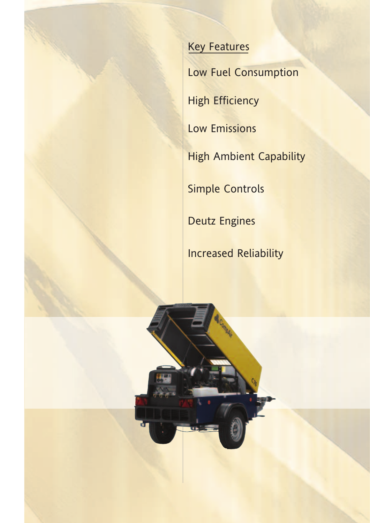### Key Features

Low Fuel Consumption

**High Efficiency** 

Low Emissions

**High Ambient Capability** 

Simple Controls

Deutz Engines

Increased Reliability